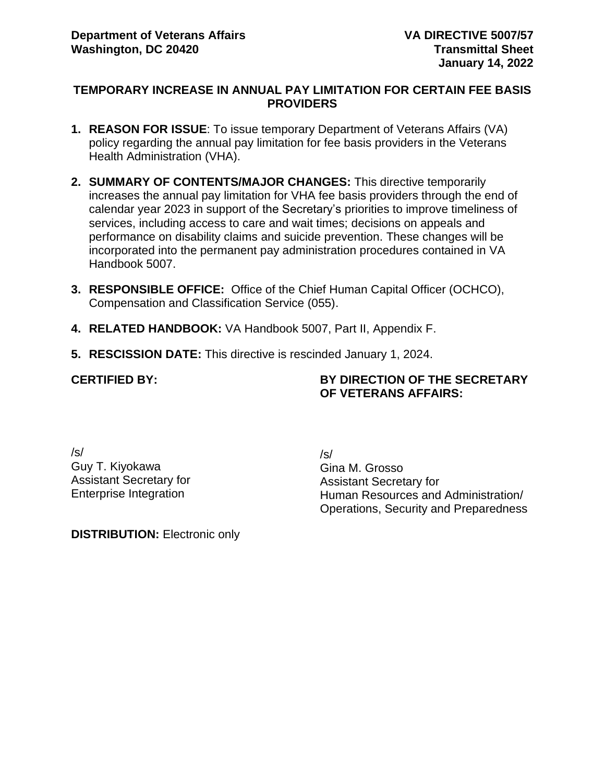#### **TEMPORARY INCREASE IN ANNUAL PAY LIMITATION FOR CERTAIN FEE BASIS PROVIDERS**

- **1. REASON FOR ISSUE**: To issue temporary Department of Veterans Affairs (VA) policy regarding the annual pay limitation for fee basis providers in the Veterans Health Administration (VHA).
- **2. SUMMARY OF CONTENTS/MAJOR CHANGES:** This directive temporarily increases the annual pay limitation for VHA fee basis providers through the end of calendar year 2023 in support of the Secretary's priorities to improve timeliness of services, including access to care and wait times; decisions on appeals and performance on disability claims and suicide prevention. These changes will be incorporated into the permanent pay administration procedures contained in VA Handbook 5007.
- **3. RESPONSIBLE OFFICE:** Office of the Chief Human Capital Officer (OCHCO), Compensation and Classification Service (055).
- **4. RELATED HANDBOOK:** VA Handbook 5007, Part II, Appendix F.
- **5. RESCISSION DATE:** This directive is rescinded January 1, 2024.

#### **CERTIFIED BY:**

**BY DIRECTION OF THE SECRETARY OF VETERANS AFFAIRS:**

/s/ Guy T. Kiyokawa Assistant Secretary for Enterprise Integration

/s/ Gina M. Grosso Assistant Secretary for Human Resources and Administration/ Operations, Security and Preparedness

**DISTRIBUTION: Electronic only**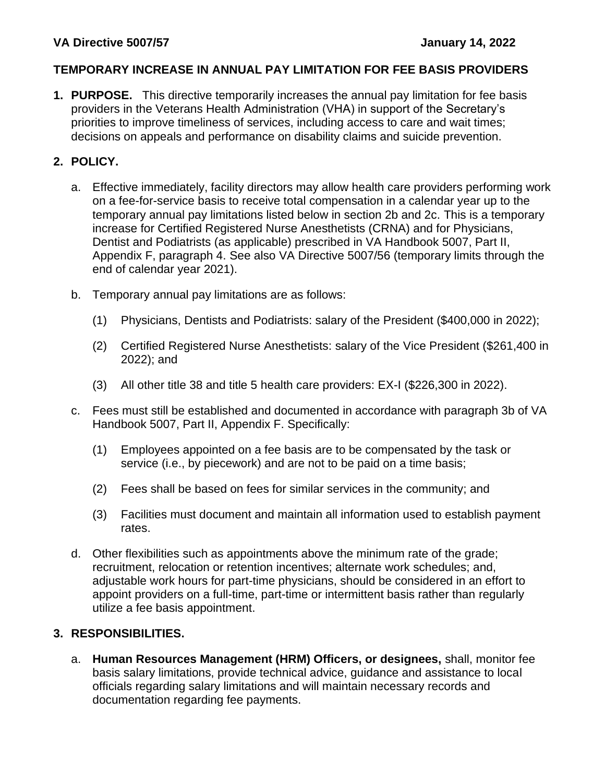### **VA Directive 5007/57 January 14, 2022**

### **TEMPORARY INCREASE IN ANNUAL PAY LIMITATION FOR FEE BASIS PROVIDERS**

**1. PURPOSE.** This directive temporarily increases the annual pay limitation for fee basis providers in the Veterans Health Administration (VHA) in support of the Secretary's priorities to improve timeliness of services, including access to care and wait times; decisions on appeals and performance on disability claims and suicide prevention.

# **2. POLICY.**

- a. Effective immediately, facility directors may allow health care providers performing work on a fee-for-service basis to receive total compensation in a calendar year up to the temporary annual pay limitations listed below in section 2b and 2c. This is a temporary increase for Certified Registered Nurse Anesthetists (CRNA) and for Physicians, Dentist and Podiatrists (as applicable) prescribed in VA Handbook 5007, Part II, Appendix F, paragraph 4. See also VA Directive 5007/56 (temporary limits through the end of calendar year 2021).
- b. Temporary annual pay limitations are as follows:
	- (1) Physicians, Dentists and Podiatrists: salary of the President (\$400,000 in 2022);
	- (2) Certified Registered Nurse Anesthetists: salary of the Vice President (\$261,400 in 2022); and
	- (3) All other title 38 and title 5 health care providers: EX-I (\$226,300 in 2022).
- c. Fees must still be established and documented in accordance with paragraph 3b of VA Handbook 5007, Part II, Appendix F. Specifically:
	- (1) Employees appointed on a fee basis are to be compensated by the task or service (i.e., by piecework) and are not to be paid on a time basis;
	- (2) Fees shall be based on fees for similar services in the community; and
	- (3) Facilities must document and maintain all information used to establish payment rates.
- d. Other flexibilities such as appointments above the minimum rate of the grade; recruitment, relocation or retention incentives; alternate work schedules; and, adjustable work hours for part-time physicians, should be considered in an effort to appoint providers on a full-time, part-time or intermittent basis rather than regularly utilize a fee basis appointment.

## **3. RESPONSIBILITIES.**

a. **Human Resources Management (HRM) Officers, or designees,** shall, monitor fee basis salary limitations, provide technical advice, guidance and assistance to local officials regarding salary limitations and will maintain necessary records and documentation regarding fee payments.